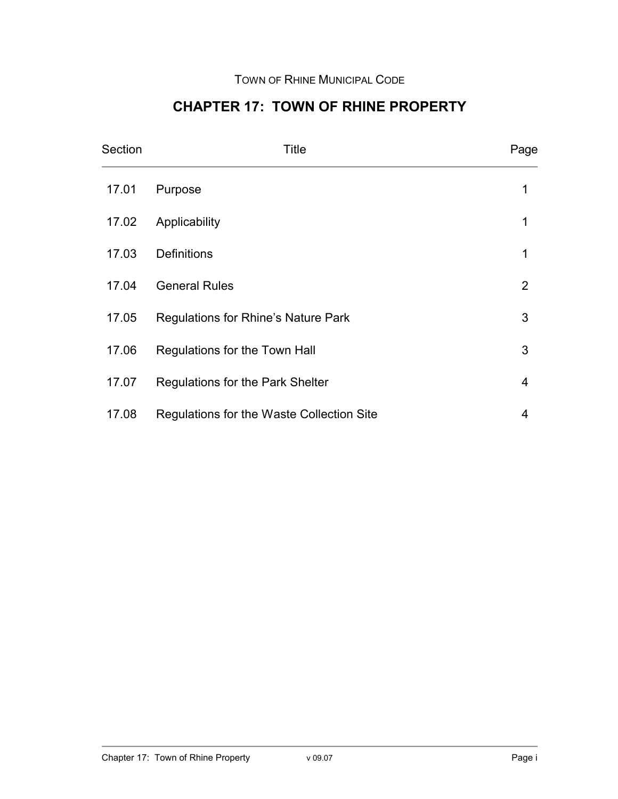# **CHAPTER 17: TOWN OF RHINE PROPERTY**

| Section | <b>Title</b>                              | Page |
|---------|-------------------------------------------|------|
| 17.01   | Purpose                                   | 1    |
| 17.02   | Applicability                             | 1    |
| 17.03   | <b>Definitions</b>                        | 1    |
| 17.04   | <b>General Rules</b>                      | 2    |
| 17.05   | Regulations for Rhine's Nature Park       | 3    |
| 17.06   | Regulations for the Town Hall             | 3    |
| 17.07   | Regulations for the Park Shelter          | 4    |
| 17.08   | Regulations for the Waste Collection Site | 4    |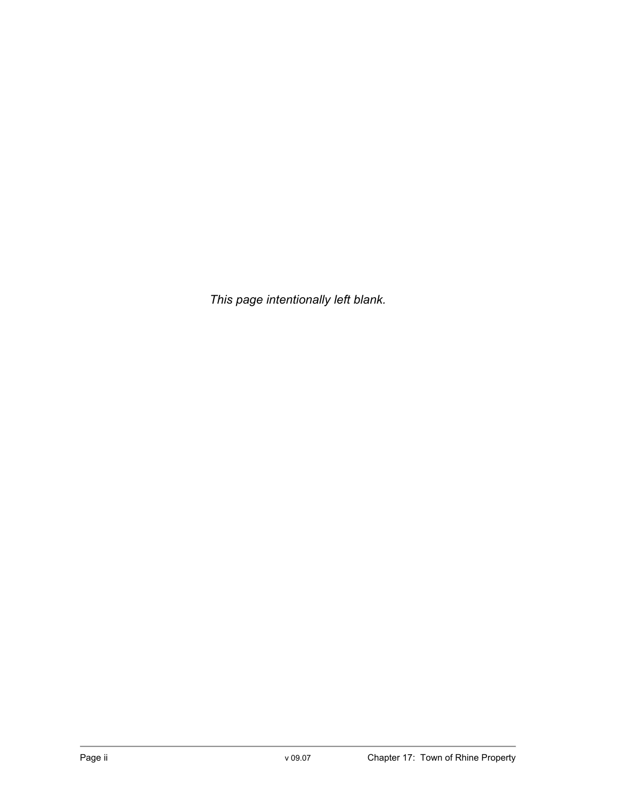*This page intentionally left blank.*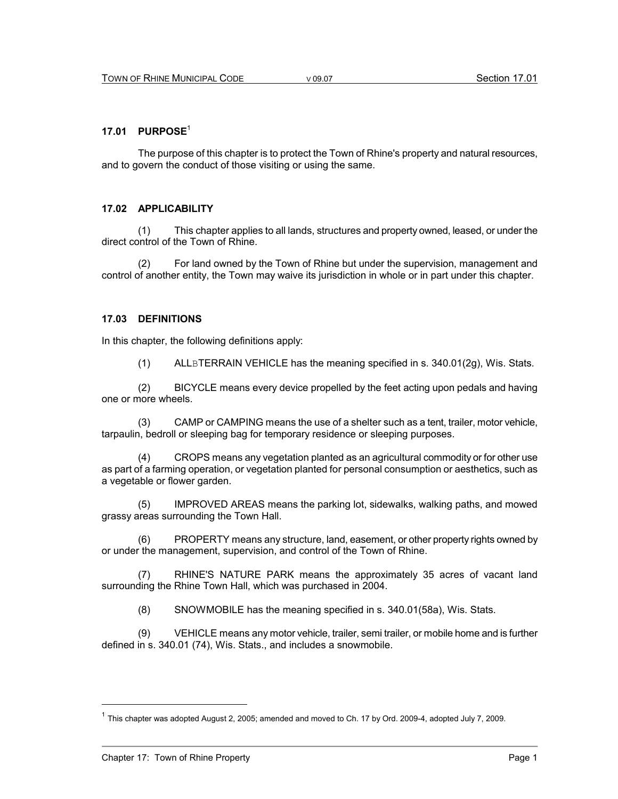#### **17.01 PURPOSE**<sup>1</sup>

The purpose of this chapter is to protect the Town of Rhine's property and natural resources, and to govern the conduct of those visiting or using the same.

#### **17.02 APPLICABILITY**

(1) This chapter applies to all lands, structures and property owned, leased, or under the direct control of the Town of Rhine.

(2) For land owned by the Town of Rhine but under the supervision, management and control of another entity, the Town may waive its jurisdiction in whole or in part under this chapter.

### **17.03 DEFINITIONS**

In this chapter, the following definitions apply:

(1) ALLBTERRAIN VEHICLE has the meaning specified in s. 340.01(2g), Wis. Stats.

(2) BICYCLE means every device propelled by the feet acting upon pedals and having one or more wheels.

(3) CAMP or CAMPING means the use of a shelter such as a tent, trailer, motor vehicle, tarpaulin, bedroll or sleeping bag for temporary residence or sleeping purposes.

(4) CROPS means any vegetation planted as an agricultural commodity or for other use as part of a farming operation, or vegetation planted for personal consumption or aesthetics, such as a vegetable or flower garden.

(5) IMPROVED AREAS means the parking lot, sidewalks, walking paths, and mowed grassy areas surrounding the Town Hall.

(6) PROPERTY means any structure, land, easement, or other property rights owned by or under the management, supervision, and control of the Town of Rhine.

(7) RHINE'S NATURE PARK means the approximately 35 acres of vacant land surrounding the Rhine Town Hall, which was purchased in 2004.

(8) SNOWMOBILE has the meaning specified in s. 340.01(58a), Wis. Stats.

VEHICLE means any motor vehicle, trailer, semi trailer, or mobile home and is further defined in s. 340.01 (74), Wis. Stats., and includes a snowmobile.

 $\overline{a}$ 

 $^1$  This chapter was adopted August 2, 2005; amended and moved to Ch. 17 by Ord. 2009-4, adopted July 7, 2009.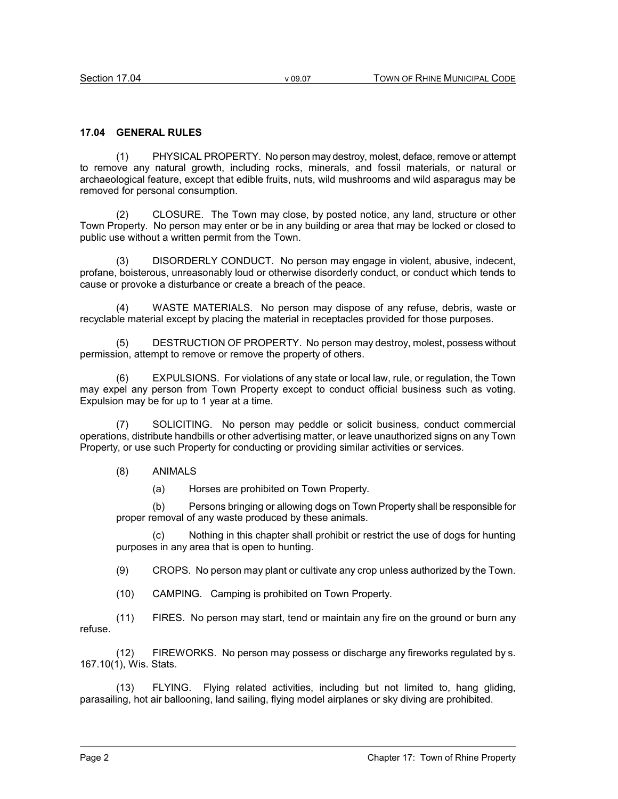#### **17.04 GENERAL RULES**

(1) PHYSICAL PROPERTY. No person may destroy, molest, deface, remove or attempt to remove any natural growth, including rocks, minerals, and fossil materials, or natural or archaeological feature, except that edible fruits, nuts, wild mushrooms and wild asparagus may be removed for personal consumption.

(2) CLOSURE. The Town may close, by posted notice, any land, structure or other Town Property. No person may enter or be in any building or area that may be locked or closed to public use without a written permit from the Town.

(3) DISORDERLY CONDUCT. No person may engage in violent, abusive, indecent, profane, boisterous, unreasonably loud or otherwise disorderly conduct, or conduct which tends to cause or provoke a disturbance or create a breach of the peace.

(4) WASTE MATERIALS. No person may dispose of any refuse, debris, waste or recyclable material except by placing the material in receptacles provided for those purposes.

(5) DESTRUCTION OF PROPERTY. No person may destroy, molest, possess without permission, attempt to remove or remove the property of others.

EXPULSIONS. For violations of any state or local law, rule, or regulation, the Town may expel any person from Town Property except to conduct official business such as voting. Expulsion may be for up to 1 year at a time.

(7) SOLICITING. No person may peddle or solicit business, conduct commercial operations, distribute handbills or other advertising matter, or leave unauthorized signs on any Town Property, or use such Property for conducting or providing similar activities or services.

(8) ANIMALS

(a) Horses are prohibited on Town Property.

(b) Persons bringing or allowing dogs on Town Property shall be responsible for proper removal of any waste produced by these animals.

(c) Nothing in this chapter shall prohibit or restrict the use of dogs for hunting purposes in any area that is open to hunting.

(9) CROPS. No person may plant or cultivate any crop unless authorized by the Town.

(10) CAMPING. Camping is prohibited on Town Property.

(11) FIRES. No person may start, tend or maintain any fire on the ground or burn any refuse.

(12) FIREWORKS. No person may possess or discharge any fireworks regulated by s. 167.10(1), Wis. Stats.

(13) FLYING. Flying related activities, including but not limited to, hang gliding, parasailing, hot air ballooning, land sailing, flying model airplanes or sky diving are prohibited.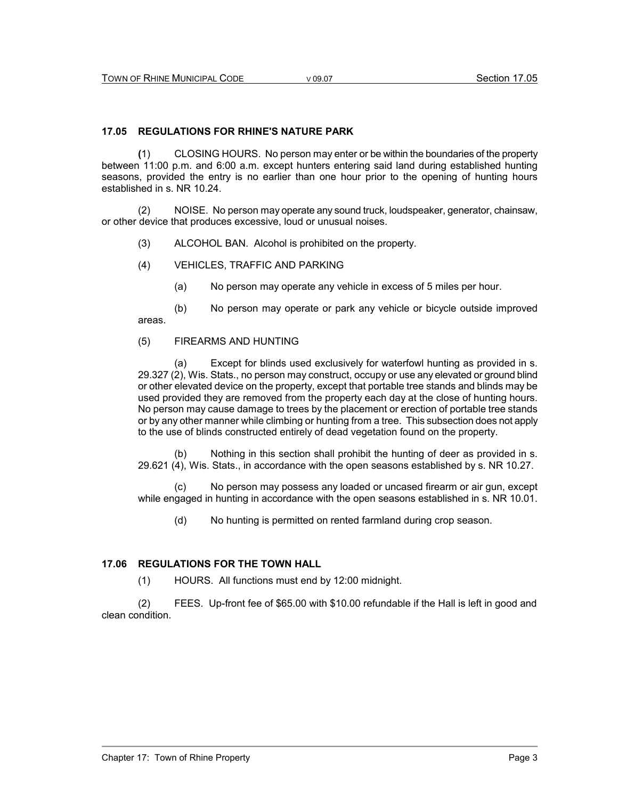#### **17.05 REGULATIONS FOR RHINE'S NATURE PARK**

**(**1) CLOSING HOURS. No person may enter or be within the boundaries of the property between 11:00 p.m. and 6:00 a.m. except hunters entering said land during established hunting seasons, provided the entry is no earlier than one hour prior to the opening of hunting hours established in s. NR 10.24.

(2) NOISE. No person may operate any sound truck, loudspeaker, generator, chainsaw, or other device that produces excessive, loud or unusual noises.

- (3) ALCOHOL BAN. Alcohol is prohibited on the property.
- (4) VEHICLES, TRAFFIC AND PARKING
	- (a) No person may operate any vehicle in excess of 5 miles per hour.

(b) No person may operate or park any vehicle or bicycle outside improved areas.

#### (5) FIREARMS AND HUNTING

(a) Except for blinds used exclusively for waterfowl hunting as provided in s. 29.327 (2), Wis. Stats., no person may construct, occupy or use any elevated or ground blind or other elevated device on the property, except that portable tree stands and blinds may be used provided they are removed from the property each day at the close of hunting hours. No person may cause damage to trees by the placement or erection of portable tree stands or by any other manner while climbing or hunting from a tree. This subsection does not apply to the use of blinds constructed entirely of dead vegetation found on the property.

(b) Nothing in this section shall prohibit the hunting of deer as provided in s. 29.621 (4), Wis. Stats., in accordance with the open seasons established by s. NR 10.27.

No person may possess any loaded or uncased firearm or air gun, except while engaged in hunting in accordance with the open seasons established in s. NR 10.01.

(d) No hunting is permitted on rented farmland during crop season.

## **17.06 REGULATIONS FOR THE TOWN HALL**

(1) HOURS. All functions must end by 12:00 midnight.

(2) FEES. Up-front fee of \$65.00 with \$10.00 refundable if the Hall is left in good and clean condition.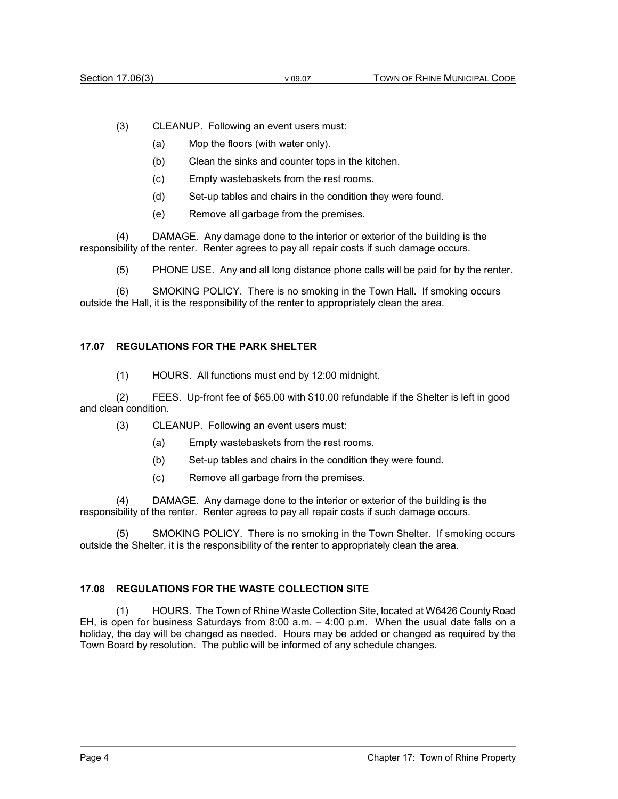- (3) CLEANUP. Following an event users must:
	- (a) Mop the floors (with water only).
	- (b) Clean the sinks and counter tops in the kitchen.
	- (c) Empty wastebaskets from the rest rooms.
	- (d) Set-up tables and chairs in the condition they were found.
	- (e) Remove all garbage from the premises.

(4) DAMAGE. Any damage done to the interior or exterior of the building is the responsibility of the renter. Renter agrees to pay all repair costs if such damage occurs.

(5) PHONE USE. Any and all long distance phone calls will be paid for by the renter.

(6) SMOKING POLICY. There is no smoking in the Town Hall. If smoking occurs outside the Hall, it is the responsibility of the renter to appropriately clean the area.

# **17.07 REGULATIONS FOR THE PARK SHELTER**

(1) HOURS. All functions must end by 12:00 midnight.

(2) FEES. Up-front fee of \$65.00 with \$10.00 refundable if the Shelter is left in good and clean condition.

- (3) CLEANUP. Following an event users must:
	- (a) Empty wastebaskets from the rest rooms.
	- (b) Set-up tables and chairs in the condition they were found.
	- (c) Remove all garbage from the premises.

(4) DAMAGE. Any damage done to the interior or exterior of the building is the responsibility of the renter. Renter agrees to pay all repair costs if such damage occurs.

(5) SMOKING POLICY. There is no smoking in the Town Shelter. If smoking occurs outside the Shelter, it is the responsibility of the renter to appropriately clean the area.

# **17.08 REGULATIONS FOR THE WASTE COLLECTION SITE**

(1) HOURS. The Town of Rhine Waste Collection Site, located at W6426 County Road EH, is open for business Saturdays from 8:00 a.m. – 4:00 p.m. When the usual date falls on a holiday, the day will be changed as needed. Hours may be added or changed as required by the Town Board by resolution. The public will be informed of any schedule changes.